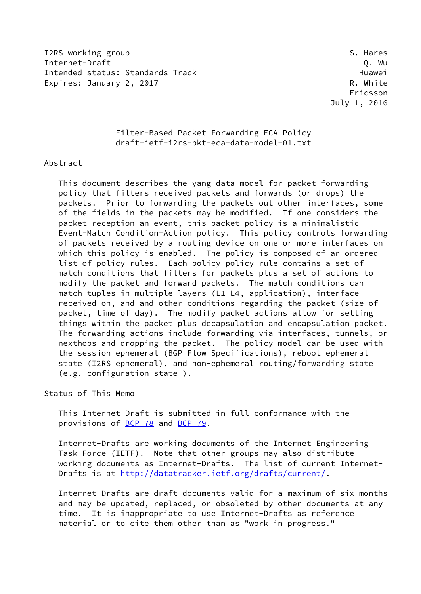I2RS working group states and the set of the set of the set of the set of the set of the set of the set of the set of the set of the set of the set of the set of the set of the set of the set of the set of the set of the s Internet-Draft Q. Wu Intended status: Standards Track Track Huawei Expires: January 2, 2017 **R. White** 

 Ericsson July 1, 2016

## Filter-Based Packet Forwarding ECA Policy draft-ietf-i2rs-pkt-eca-data-model-01.txt

### Abstract

 This document describes the yang data model for packet forwarding policy that filters received packets and forwards (or drops) the packets. Prior to forwarding the packets out other interfaces, some of the fields in the packets may be modified. If one considers the packet reception an event, this packet policy is a minimalistic Event-Match Condition-Action policy. This policy controls forwarding of packets received by a routing device on one or more interfaces on which this policy is enabled. The policy is composed of an ordered list of policy rules. Each policy policy rule contains a set of match conditions that filters for packets plus a set of actions to modify the packet and forward packets. The match conditions can match tuples in multiple layers (L1-L4, application), interface received on, and and other conditions regarding the packet (size of packet, time of day). The modify packet actions allow for setting things within the packet plus decapsulation and encapsulation packet. The forwarding actions include forwarding via interfaces, tunnels, or nexthops and dropping the packet. The policy model can be used with the session ephemeral (BGP Flow Specifications), reboot ephemeral state (I2RS ephemeral), and non-ephemeral routing/forwarding state (e.g. configuration state ).

Status of This Memo

 This Internet-Draft is submitted in full conformance with the provisions of [BCP 78](https://datatracker.ietf.org/doc/pdf/bcp78) and [BCP 79](https://datatracker.ietf.org/doc/pdf/bcp79).

 Internet-Drafts are working documents of the Internet Engineering Task Force (IETF). Note that other groups may also distribute working documents as Internet-Drafts. The list of current Internet- Drafts is at<http://datatracker.ietf.org/drafts/current/>.

 Internet-Drafts are draft documents valid for a maximum of six months and may be updated, replaced, or obsoleted by other documents at any time. It is inappropriate to use Internet-Drafts as reference material or to cite them other than as "work in progress."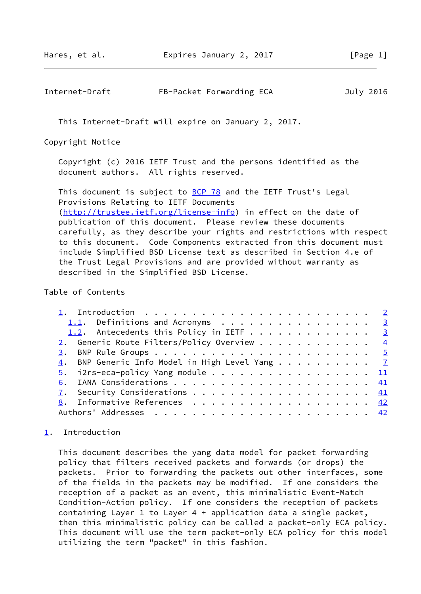## <span id="page-1-1"></span>Internet-Draft FB-Packet Forwarding ECA July 2016

This Internet-Draft will expire on January 2, 2017.

Copyright Notice

 Copyright (c) 2016 IETF Trust and the persons identified as the document authors. All rights reserved.

This document is subject to **[BCP 78](https://datatracker.ietf.org/doc/pdf/bcp78)** and the IETF Trust's Legal Provisions Relating to IETF Documents [\(http://trustee.ietf.org/license-info](http://trustee.ietf.org/license-info)) in effect on the date of publication of this document. Please review these documents carefully, as they describe your rights and restrictions with respect to this document. Code Components extracted from this document must include Simplified BSD License text as described in Section 4.e of the Trust Legal Provisions and are provided without warranty as described in the Simplified BSD License.

### Table of Contents

| 1.1. Definitions and Acronyms $\ldots$ 3                                    |  |
|-----------------------------------------------------------------------------|--|
| 1.2. Antecedents this Policy in IETF 3                                      |  |
| 2. Generic Route Filters/Policy Overview $\frac{4}{3}$                      |  |
|                                                                             |  |
| $\underline{4}$ . BNP Generic Info Model in High Level Yang $\underline{7}$ |  |
| $\underline{5}$ . i2rs-eca-policy Yang module 11                            |  |
|                                                                             |  |
|                                                                             |  |
| 8. Informative References 42                                                |  |
|                                                                             |  |
|                                                                             |  |

# <span id="page-1-0"></span>[1](#page-1-0). Introduction

 This document describes the yang data model for packet forwarding policy that filters received packets and forwards (or drops) the packets. Prior to forwarding the packets out other interfaces, some of the fields in the packets may be modified. If one considers the reception of a packet as an event, this minimalistic Event-Match Condition-Action policy. If one considers the reception of packets containing Layer 1 to Layer 4 + application data a single packet, then this minimalistic policy can be called a packet-only ECA policy. This document will use the term packet-only ECA policy for this model utilizing the term "packet" in this fashion.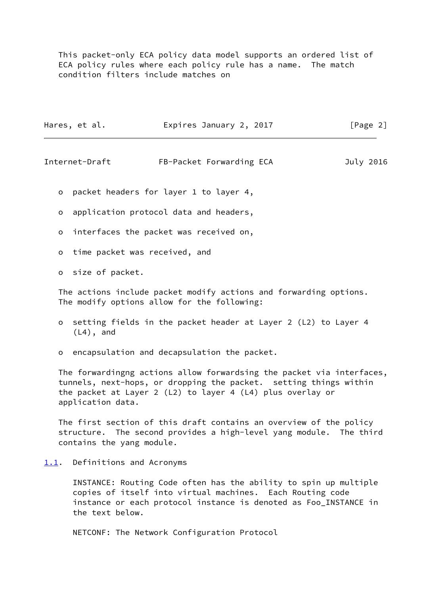This packet-only ECA policy data model supports an ordered list of ECA policy rules where each policy rule has a name. The match condition filters include matches on

| Hares, et al. | Expires January 2, 2017 | [Page 2] |
|---------------|-------------------------|----------|
|               |                         |          |

<span id="page-2-1"></span>Internet-Draft FB-Packet Forwarding ECA July 2016

o packet headers for layer 1 to layer 4,

o application protocol data and headers,

o interfaces the packet was received on,

o time packet was received, and

o size of packet.

 The actions include packet modify actions and forwarding options. The modify options allow for the following:

- o setting fields in the packet header at Layer 2 (L2) to Layer 4 (L4), and
- o encapsulation and decapsulation the packet.

 The forwardingng actions allow forwardsing the packet via interfaces, tunnels, next-hops, or dropping the packet. setting things within the packet at Layer 2 (L2) to layer 4 (L4) plus overlay or application data.

 The first section of this draft contains an overview of the policy structure. The second provides a high-level yang module. The third contains the yang module.

### <span id="page-2-0"></span>[1.1](#page-2-0). Definitions and Acronyms

 INSTANCE: Routing Code often has the ability to spin up multiple copies of itself into virtual machines. Each Routing code instance or each protocol instance is denoted as Foo\_INSTANCE in the text below.

NETCONF: The Network Configuration Protocol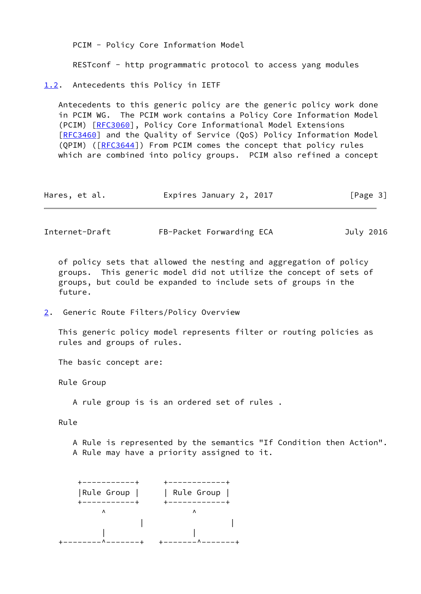<span id="page-3-0"></span>

|    |                                      | PCIM - Policy Core Information Model                                                                                                                                                                                                                                                                                                                                                                                       |           |
|----|--------------------------------------|----------------------------------------------------------------------------------------------------------------------------------------------------------------------------------------------------------------------------------------------------------------------------------------------------------------------------------------------------------------------------------------------------------------------------|-----------|
|    |                                      | RESTconf - http programmatic protocol to access yang modules                                                                                                                                                                                                                                                                                                                                                               |           |
|    | 1.2. Antecedents this Policy in IETF |                                                                                                                                                                                                                                                                                                                                                                                                                            |           |
|    |                                      | Antecedents to this generic policy are the generic policy work done<br>in PCIM WG. The PCIM work contains a Policy Core Information Model<br>(PCIM) [RFC3060], Policy Core Informational Model Extensions<br>[RFC3460] and the Quality of Service (QoS) Policy Information Model<br>(QPIM) ([RFC3644]) From PCIM comes the concept that policy rules<br>which are combined into policy groups. PCIM also refined a concept |           |
|    | Hares, et al.                        | Expires January 2, 2017                                                                                                                                                                                                                                                                                                                                                                                                    | [Page 3]  |
|    | Internet-Draft                       | FB-Packet Forwarding ECA                                                                                                                                                                                                                                                                                                                                                                                                   | July 2016 |
|    | future.                              | of policy sets that allowed the nesting and aggregation of policy<br>groups. This generic model did not utilize the concept of sets of<br>groups, but could be expanded to include sets of groups in the                                                                                                                                                                                                                   |           |
| 2. |                                      | Generic Route Filters/Policy Overview                                                                                                                                                                                                                                                                                                                                                                                      |           |
|    | rules and groups of rules.           | This generic policy model represents filter or routing policies as                                                                                                                                                                                                                                                                                                                                                         |           |
|    | The basic concept are:               |                                                                                                                                                                                                                                                                                                                                                                                                                            |           |

<span id="page-3-2"></span><span id="page-3-1"></span>Rule Group

A rule group is is an ordered set of rules .

Rule

 A Rule is represented by the semantics "If Condition then Action". A Rule may have a priority assigned to it.

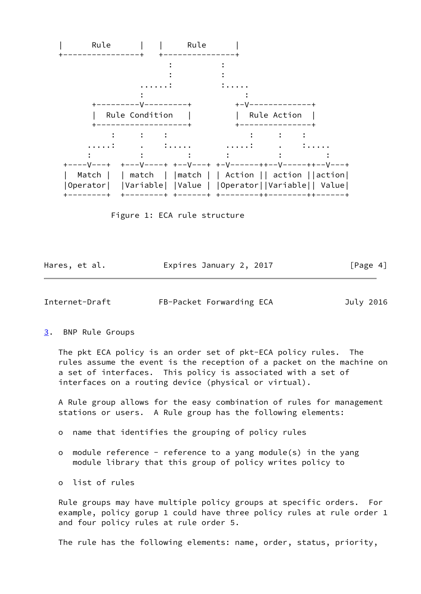

Figure 1: ECA rule structure

| Hares, et al. | Expires January 2, 2017 | [Page 4] |
|---------------|-------------------------|----------|
|               |                         |          |

<span id="page-4-1"></span>Internet-Draft FB-Packet Forwarding ECA July 2016

#### <span id="page-4-0"></span>[3](#page-4-0). BNP Rule Groups

 The pkt ECA policy is an order set of pkt-ECA policy rules. The rules assume the event is the reception of a packet on the machine on a set of interfaces. This policy is associated with a set of interfaces on a routing device (physical or virtual).

 A Rule group allows for the easy combination of rules for management stations or users. A Rule group has the following elements:

- o name that identifies the grouping of policy rules
- o module reference reference to a yang module(s) in the yang module library that this group of policy writes policy to
- o list of rules

 Rule groups may have multiple policy groups at specific orders. For example, policy gorup 1 could have three policy rules at rule order 1 and four policy rules at rule order 5.

The rule has the following elements: name, order, status, priority,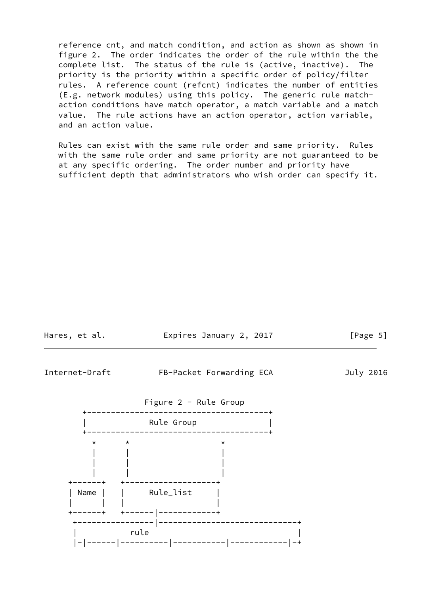reference cnt, and match condition, and action as shown as shown in figure 2. The order indicates the order of the rule within the the complete list. The status of the rule is (active, inactive). The priority is the priority within a specific order of policy/filter rules. A reference count (refcnt) indicates the number of entities (E.g. network modules) using this policy. The generic rule match action conditions have match operator, a match variable and a match value. The rule actions have an action operator, action variable, and an action value.

 Rules can exist with the same rule order and same priority. Rules with the same rule order and same priority are not guaranteed to be at any specific ordering. The order number and priority have sufficient depth that administrators who wish order can specify it.

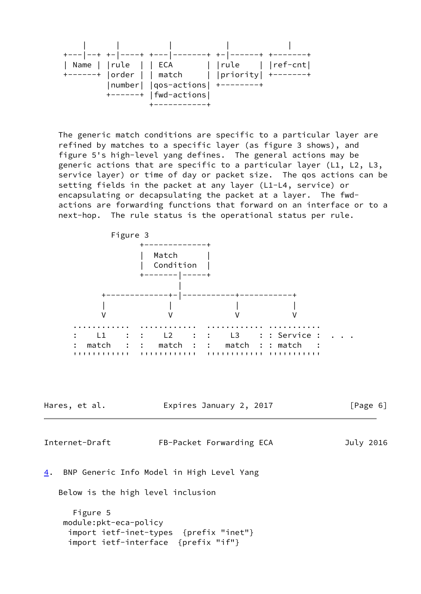| +--- --+ +- ----+ +--- - |                                                                                                                     |                                                      |  |
|--------------------------|---------------------------------------------------------------------------------------------------------------------|------------------------------------------------------|--|
| Name    rule     ECA     | +------+  order     match    priority  +-------+<br>$ number $ $ qos-actions $ +--------+<br>$+---++$   fwd-actions | $\vert$ $\vert$ rule $\vert$ $\vert$ ref-cnt $\vert$ |  |
|                          |                                                                                                                     |                                                      |  |

 The generic match conditions are specific to a particular layer are refined by matches to a specific layer (as figure 3 shows), and figure 5's high-level yang defines. The general actions may be generic actions that are specific to a particular layer (L1, L2, L3, service layer) or time of day or packet size. The qos actions can be setting fields in the packet at any layer (L1-L4, service) or encapsulating or decapsulating the packet at a layer. The fwd actions are forwarding functions that forward on an interface or to a next-hop. The rule status is the operational status per rule.

<span id="page-6-1"></span><span id="page-6-0"></span>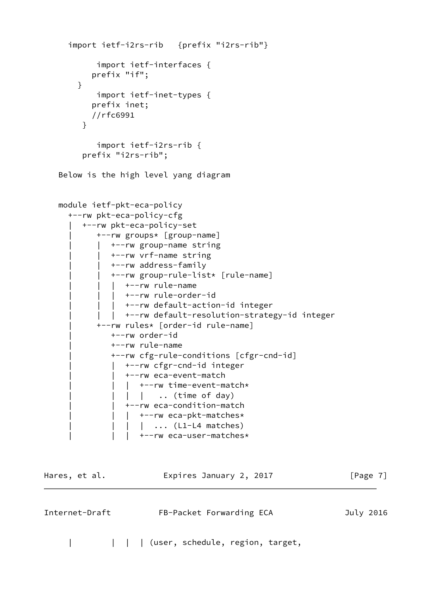```
 import ietf-i2rs-rib {prefix "i2rs-rib"}
            import ietf-interfaces {
           prefix "if";
        }
            import ietf-inet-types {
           prefix inet;
           //rfc6991
 }
            import ietf-i2rs-rib {
         prefix "i2rs-rib";
    Below is the high level yang diagram
   module ietf-pkt-eca-policy
      +--rw pkt-eca-policy-cfg
        | +--rw pkt-eca-policy-set
            | +--rw groups* [group-name]
              | | +--rw group-name string
               | | +--rw vrf-name string
               | | +--rw address-family
              | | +--rw group-rule-list* [rule-name]
              | +--rw rule-name
                 | | | +--rw rule-order-id
              | +--rw default-action-id integer
              | +--rw default-resolution-strategy-id integer
            | +--rw rules* [order-id rule-name]
               | +--rw order-id
               | +--rw rule-name
               | +--rw cfg-rule-conditions [cfgr-cnd-id]
              | +--rw cfgr-cnd-id integer
                 | | +--rw eca-event-match
              | | +--rw time-event-match*
              | | | .. (time of day)
              | +--rw eca-condition-match
                 | +--rw eca-pkt-matches*
                   |\quad \ldots\quad (L1-L4 matches)
                     | | | +--rw eca-user-matches*
Hares, et al. Expires January 2, 2017 [Page 7]
Internet-Draft FB-Packet Forwarding ECA July 2016
```
| | | | (user, schedule, region, target,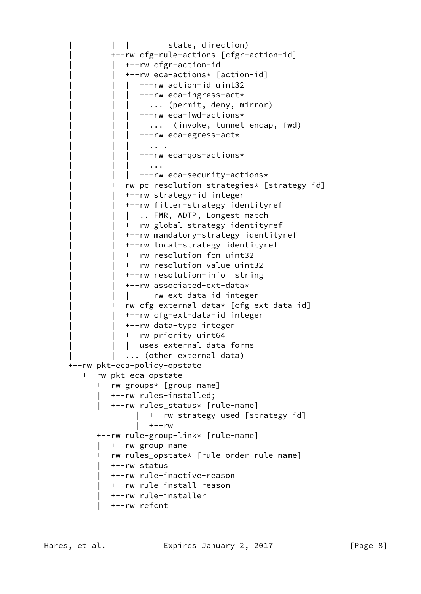```
| | | state, direction)
          | +--rw cfg-rule-actions [cfgr-action-id]
          | +--rw cfgr-action-id
             | | +--rw eca-actions* [action-id]
             | +--rw action-id uint32
             | +--rw eca-ingress-act*
             | | ... (permit, deny, mirror)
             | +--rw eca-fwd-actions*
              | ... (invoke, tunnel encap, fwd)
             | +--rw eca-egress-act*
                | | | | .. .
             | +--rw eca-qos-actions*
                | \cdot \cdot \cdot || +--rw eca-security-actions*
          | +--rw pc-resolution-strategies* [strategy-id]
             | | +--rw strategy-id integer
             | | +--rw filter-strategy identityref
            | .. FMR, ADTP, Longest-match
             | | +--rw global-strategy identityref
             | | +--rw mandatory-strategy identityref
             | | +--rw local-strategy identityref
             | | +--rw resolution-fcn uint32
             | | +--rw resolution-value uint32
             | | +--rw resolution-info string
             | | +--rw associated-ext-data*
            | +--rw ext-data-id integer
          | +--rw cfg-external-data* [cfg-ext-data-id]
            | | +--rw cfg-ext-data-id integer
             | | +--rw data-type integer
             | | +--rw priority uint64
           | uses external-data-forms
         | ... (other external data)
 +--rw pkt-eca-policy-opstate
    +--rw pkt-eca-opstate
       +--rw groups* [group-name]
         | +--rw rules-installed;
          | +--rw rules_status* [rule-name]
                | +--rw strategy-used [strategy-id]
               | +--rw
       +--rw rule-group-link* [rule-name]
       | +--rw group-name
       +--rw rules_opstate* [rule-order rule-name]
       | +--rw status
          | +--rw rule-inactive-reason
          | +--rw rule-install-reason
        | +--rw rule-installer
          | +--rw refcnt
```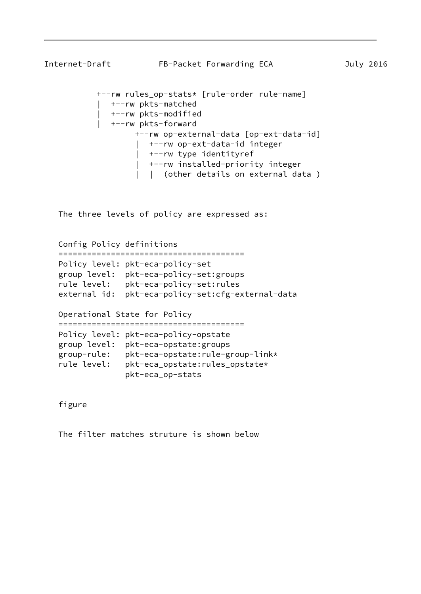```
Internet-Draft FB-Packet Forwarding ECA July 2016
            +--rw rules_op-stats* [rule-order rule-name]
               | +--rw pkts-matched
               | +--rw pkts-modified
               | +--rw pkts-forward
                    +--rw op-external-data [op-ext-data-id]
                       | +--rw op-ext-data-id integer
                       | +--rw type identityref
                       | +--rw installed-priority integer
                       | | (other details on external data )
```
The three levels of policy are expressed as:

 Config Policy definitions ======================================= Policy level: pkt-eca-policy-set group level: pkt-eca-policy-set:groups rule level: pkt-eca-policy-set:rules external id: pkt-eca-policy-set:cfg-external-data

 Operational State for Policy ======================================= Policy level: pkt-eca-policy-opstate group level: pkt-eca-opstate:groups group-rule: pkt-eca-opstate:rule-group-link\* rule level: pkt-eca\_opstate:rules\_opstate\* pkt-eca\_op-stats

figure

The filter matches struture is shown below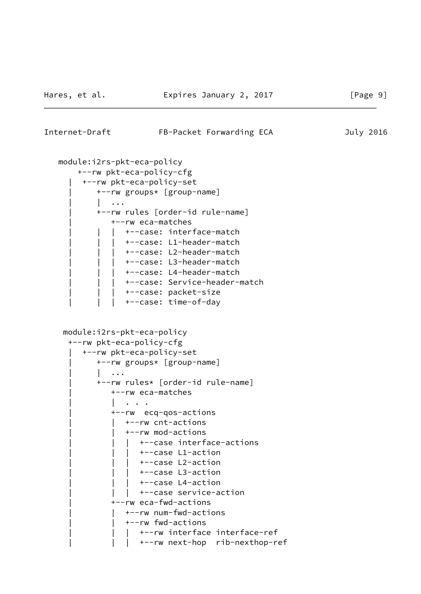## Internet-Draft FB-Packet Forwarding ECA July 2016

```
 module:i2rs-pkt-eca-policy
     +--rw pkt-eca-policy-cfg
      | +--rw pkt-eca-policy-set
          | +--rw groups* [group-name]
          | | ...
          | +--rw rules [order-id rule-name]
             | +--rw eca-matches
               | | | +--case: interface-match
               | | | +--case: L1-header-match
               | | | +--case: L2-header-match
            | +--case: L3-header-match
              +--case: L4-header-match
            | +--case: Service-header-match
               | | | +--case: packet-size
               +--case: time-of-day
  module:i2rs-pkt-eca-policy
   +--rw pkt-eca-policy-cfg
      | +--rw pkt-eca-policy-set
          | +--rw groups* [group-name]
          | | ...
          | +--rw rules* [order-id rule-name]
             | +--rw eca-matches
             | | . . .
             | +--rw ecq-qos-actions
                | | +--rw cnt-actions
                | | +--rw mod-actions
                   | | | +--case interface-actions
                | +--case L1-action
                   | | | +--case L2-action
                | +--case L3-action
                   | | | +--case L4-action
               | +--case service-action
             | +--rw eca-fwd-actions
               | | +--rw num-fwd-actions
                | | +--rw fwd-actions
                   | | | +--rw interface interface-ref
                  | | | +--rw next-hop rib-nexthop-ref
```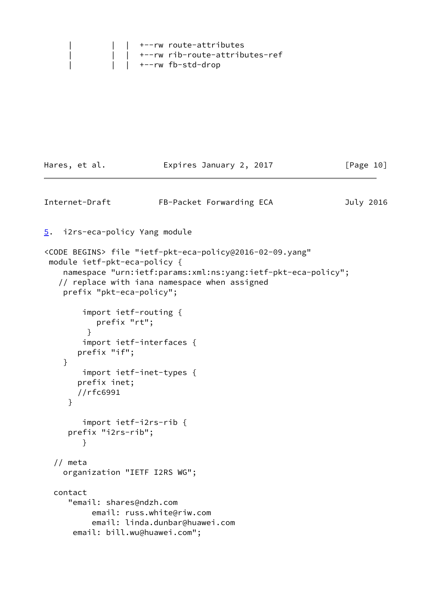|  | $\vert$ $\vert$ +--rw route-attributes         |  |
|--|------------------------------------------------|--|
|  | $\vert$ $\vert$ +--rw rib-route-attributes-ref |  |
|  | +--rw fb-std-drop                              |  |

<span id="page-11-1"></span><span id="page-11-0"></span>

| Hares, et al.                                            | Expires January 2, 2017                                                                                                                                                              | [Page 10] |
|----------------------------------------------------------|--------------------------------------------------------------------------------------------------------------------------------------------------------------------------------------|-----------|
| Internet-Draft                                           | FB-Packet Forwarding ECA                                                                                                                                                             | July 2016 |
| i2rs-eca-policy Yang module<br><u>5</u> .                |                                                                                                                                                                                      |           |
| module ietf-pkt-eca-policy {<br>prefix "pkt-eca-policy"; | <code begins=""> file "ietf-pkt-eca-policy@2016-02-09.yang"<br/>namespace "urn:ietf:params:xml:ns:yang:ietf-pkt-eca-policy";<br/>// replace with iana namespace when assigned</code> |           |
| prefix "rt";<br>$\mathcal{F}$<br>prefix "if";            | import ietf-routing {<br>import ietf-interfaces {                                                                                                                                    |           |
| }<br>prefix inet;<br>//rfc6991<br>}                      | import ietf-inet-types {                                                                                                                                                             |           |
| prefix "i2rs-rib";<br>}                                  | import ietf-i2rs-rib {                                                                                                                                                               |           |
| // meta                                                  | organization "IETF I2RS WG";                                                                                                                                                         |           |
| contact<br>"email: shares@ndzh.com                       | email: russ.white@riw.com<br>email: linda.dunbar@huawei.com<br>email: bill.wu@huawei.com";                                                                                           |           |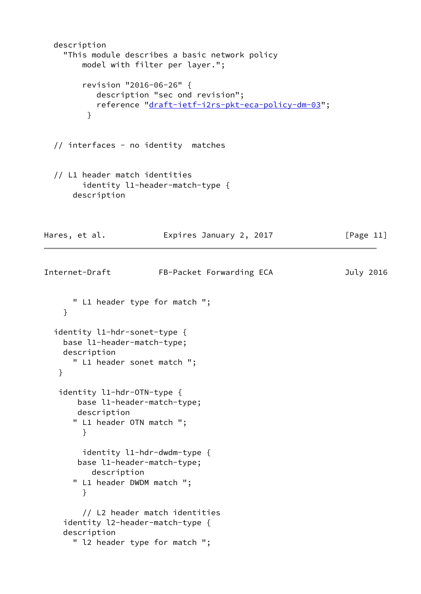```
 description
     "This module describes a basic network policy
        model with filter per layer.";
         revision "2016-06-26" {
           description "sec ond revision";
           reference "draft-ietf-i2rs-pkt-eca-policy-dm-03";
 }
  // interfaces - no identity matches
  // L1 header match identities
        identity l1-header-match-type {
      description
Hares, et al. Expires January 2, 2017 [Page 11]
Internet-Draft FB-Packet Forwarding ECA July 2016
      " L1 header type for match ";
     }
  identity l1-hdr-sonet-type {
    base l1-header-match-type;
    description
      " L1 header sonet match ";
    }
    identity l1-hdr-OTN-type {
       base l1-header-match-type;
       description
       " L1 header OTN match ";
        }
        identity l1-hdr-dwdm-type {
       base l1-header-match-type;
         description
       " L1 header DWDM match ";
        }
        // L2 header match identities
     identity l2-header-match-type {
     description
       " l2 header type for match ";
```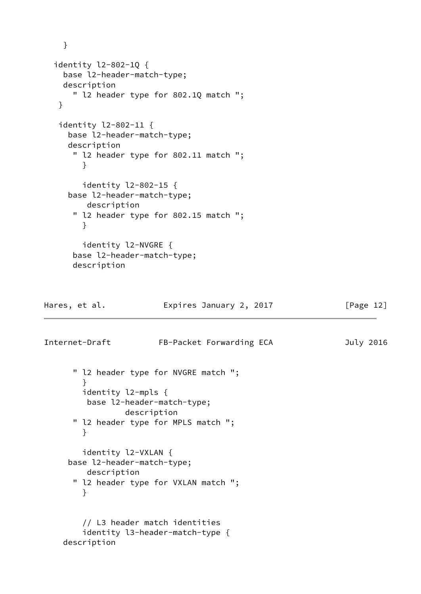```
 }
   identity l2-802-1Q {
     base l2-header-match-type;
     description
      " l2 header type for 802.1Q match ";
    }
    identity l2-802-11 {
      base l2-header-match-type;
      description
       " l2 header type for 802.11 match ";
        }
         identity l2-802-15 {
      base l2-header-match-type;
         description
       " l2 header type for 802.15 match ";
        }
         identity l2-NVGRE {
       base l2-header-match-type;
       description
Hares, et al. Expires January 2, 2017 [Page 12]
Internet-Draft FB-Packet Forwarding ECA July 2016
       " l2 header type for NVGRE match ";
        }
        identity l2-mpls {
         base l2-header-match-type;
                 description
       " l2 header type for MPLS match ";
        }
         identity l2-VXLAN {
      base l2-header-match-type;
         description
       " l2 header type for VXLAN match ";
        }
         // L3 header match identities
         identity l3-header-match-type {
     description
```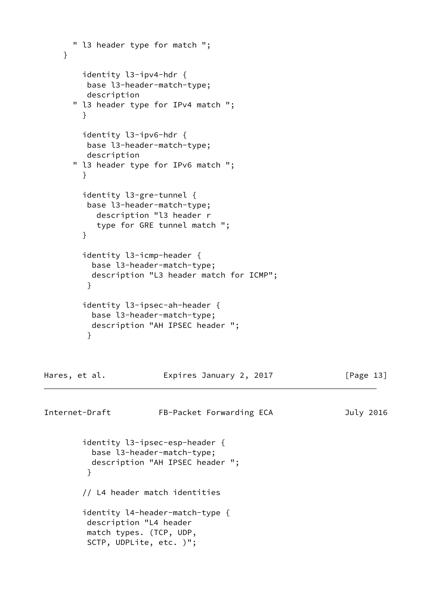```
 " l3 header type for match ";
     }
         identity l3-ipv4-hdr {
          base l3-header-match-type;
         description
       " l3 header type for IPv4 match ";
         }
         identity l3-ipv6-hdr {
          base l3-header-match-type;
          description
       " l3 header type for IPv6 match ";
         }
         identity l3-gre-tunnel {
          base l3-header-match-type;
            description "l3 header r
            type for GRE tunnel match ";
         }
         identity l3-icmp-header {
           base l3-header-match-type;
           description "L3 header match for ICMP";
          }
         identity l3-ipsec-ah-header {
           base l3-header-match-type;
           description "AH IPSEC header ";
 }
Hares, et al.                 Expires January 2, 2017               [Page 13]
Internet-Draft FB-Packet Forwarding ECA July 2016
         identity l3-ipsec-esp-header {
           base l3-header-match-type;
           description "AH IPSEC header ";
          }
         // L4 header match identities
         identity l4-header-match-type {
          description "L4 header
          match types. (TCP, UDP,
          SCTP, UDPLite, etc. )";
```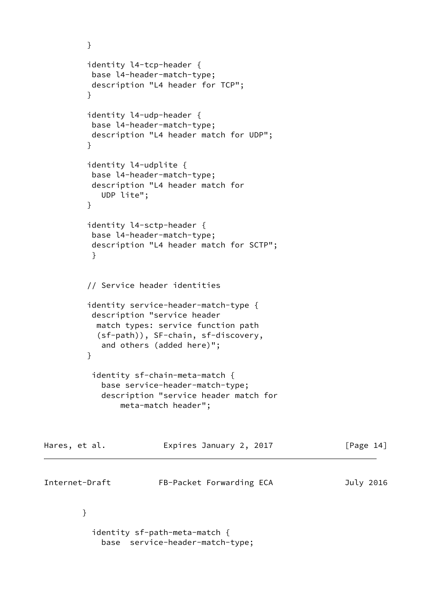```
 }
         identity l4-tcp-header {
          base l4-header-match-type;
          description "L4 header for TCP";
         }
         identity l4-udp-header {
          base l4-header-match-type;
          description "L4 header match for UDP";
         }
         identity l4-udplite {
          base l4-header-match-type;
          description "L4 header match for
            UDP lite";
         }
         identity l4-sctp-header {
          base l4-header-match-type;
          description "L4 header match for SCTP";
 }
         // Service header identities
         identity service-header-match-type {
          description "service header
           match types: service function path
           (sf-path)), SF-chain, sf-discovery,
            and others (added here)";
 }
          identity sf-chain-meta-match {
            base service-header-match-type;
            description "service header match for
                meta-match header";
Hares, et al. Expires January 2, 2017 [Page 14]
Internet-Draft FB-Packet Forwarding ECA July 2016
        }
          identity sf-path-meta-match {
```
base service-header-match-type;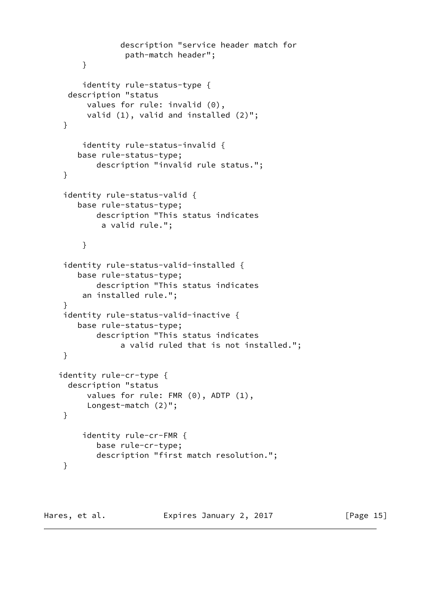```
 description "service header match for
               path-match header";
      }
      identity rule-status-type {
   description "status
       values for rule: invalid (0),
       valid (1), valid and installed (2)";
  }
      identity rule-status-invalid {
     base rule-status-type;
         description "invalid rule status.";
 }
  identity rule-status-valid {
     base rule-status-type;
         description "This status indicates
          a valid rule.";
      }
  identity rule-status-valid-installed {
     base rule-status-type;
         description "This status indicates
      an installed rule.";
  }
  identity rule-status-valid-inactive {
     base rule-status-type;
         description "This status indicates
              a valid ruled that is not installed.";
 }
 identity rule-cr-type {
   description "status
       values for rule: FMR (0), ADTP (1),
       Longest-match (2)";
 }
      identity rule-cr-FMR {
         base rule-cr-type;
         description "first match resolution.";
  }
```
Hares, et al. **Expires January 2, 2017** [Page 15]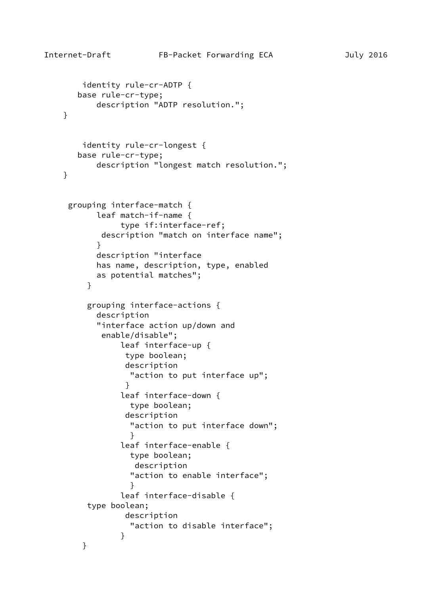```
 identity rule-cr-ADTP {
       base rule-cr-type;
           description "ADTP resolution.";
    }
        identity rule-cr-longest {
       base rule-cr-type;
           description "longest match resolution.";
    }
     grouping interface-match {
           leaf match-if-name {
                type if:interface-ref;
            description "match on interface name";
 }
           description "interface
           has name, description, type, enabled
           as potential matches";
         }
         grouping interface-actions {
           description
           "interface action up/down and
            enable/disable";
                leaf interface-up {
                 type boolean;
                 description
                  "action to put interface up";
 }
                leaf interface-down {
                  type boolean;
                 description
                  "action to put interface down";
 }
                leaf interface-enable {
                  type boolean;
                   description
                  "action to enable interface";
 }
                leaf interface-disable {
         type boolean;
                 description
                  "action to disable interface";
 }
        }
```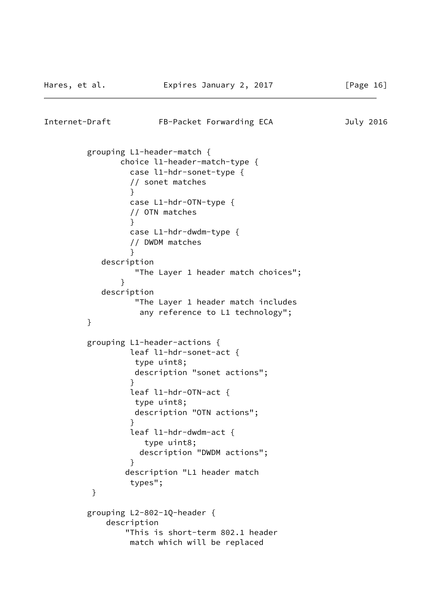```
Internet-Draft FB-Packet Forwarding ECA July 2016
         grouping L1-header-match {
               choice l1-header-match-type {
                 case l1-hdr-sonet-type {
                 // sonet matches
 }
                 case L1-hdr-OTN-type {
                 // OTN matches
 }
                case L1-hdr-dwdm-type {
                 // DWDM matches
 }
           description
                  "The Layer 1 header match choices";
 }
           description
                 "The Layer 1 header match includes
                  any reference to L1 technology";
         }
         grouping L1-header-actions {
                 leaf l1-hdr-sonet-act {
                 type uint8;
                 description "sonet actions";
 }
                 leaf l1-hdr-OTN-act {
                 type uint8;
                 description "OTN actions";
 }
                 leaf l1-hdr-dwdm-act {
                   type uint8;
                  description "DWDM actions";
 }
                description "L1 header match
                 types";
 }
         grouping L2-802-1Q-header {
            description
                "This is short-term 802.1 header
                match which will be replaced
```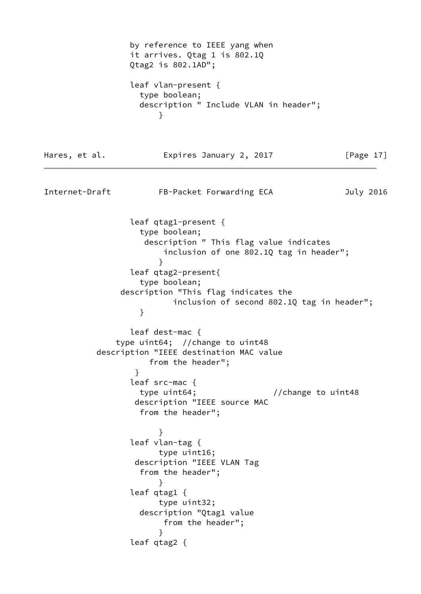by reference to IEEE yang when it arrives. Qtag 1 is 802.1Q Qtag2 is 802.1AD"; leaf vlan-present { type boolean; description " Include VLAN in header"; } Hares, et al. **Expires January 2, 2017** [Page 17] Internet-Draft FB-Packet Forwarding ECA July 2016 leaf qtag1-present { type boolean; description " This flag value indicates inclusion of one 802.1Q tag in header"; } leaf qtag2-present{ type boolean; description "This flag indicates the inclusion of second 802.1Q tag in header"; } leaf dest-mac { type uint64; //change to uint48 description "IEEE destination MAC value from the header"; } leaf src-mac { type uint64;  $// change to unit48$  description "IEEE source MAC from the header"; } leaf vlan-tag { type uint16; description "IEEE VLAN Tag from the header"; } leaf qtag1 { type uint32; description "Qtag1 value from the header"; } leaf qtag2 {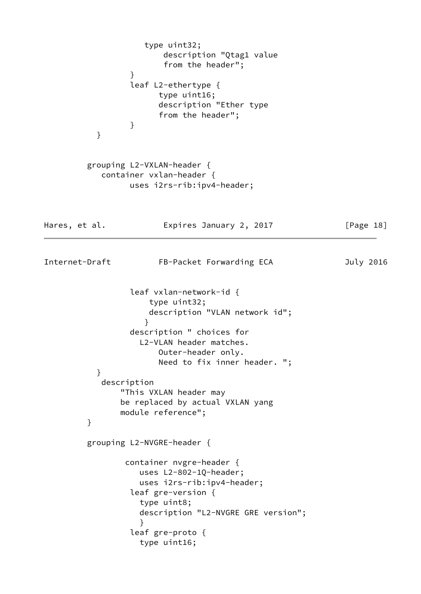```
 type uint32;
                       description "Qtag1 value
                       from the header";
 }
                 leaf L2-ethertype {
                      type uint16;
                      description "Ether type
                      from the header";
 }
          }
         grouping L2-VXLAN-header {
           container vxlan-header {
                 uses i2rs-rib:ipv4-header;
Hares, et al. Expires January 2, 2017 [Page 18]
Internet-Draft FB-Packet Forwarding ECA July 2016
                 leaf vxlan-network-id {
                     type uint32;
                     description "VLAN network id";
 }
                 description " choices for
                   L2-VLAN header matches.
                      Outer-header only.
                      Need to fix inner header. ";
 }
           description
               "This VXLAN header may
               be replaced by actual VXLAN yang
               module reference";
         }
         grouping L2-NVGRE-header {
                container nvgre-header {
                   uses L2-802-1Q-header;
                   uses i2rs-rib:ipv4-header;
                 leaf gre-version {
                   type uint8;
                   description "L2-NVGRE GRE version";
 }
                 leaf gre-proto {
                   type uint16;
```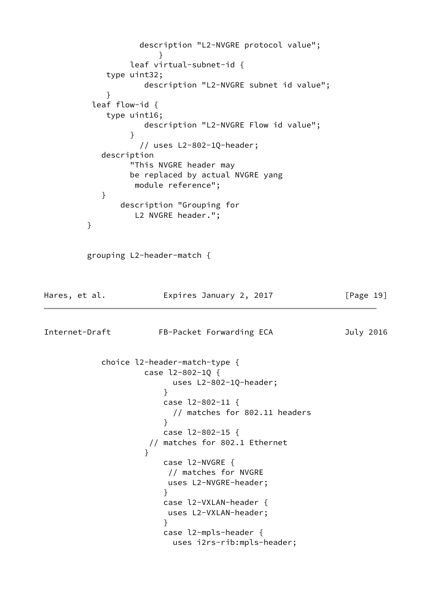description "L2-NVGRE protocol value"; } leaf virtual-subnet-id { type uint32; description "L2-NVGRE subnet id value"; } leaf flow-id { type uint16; description "L2-NVGRE Flow id value"; } // uses L2-802-1Q-header; description "This NVGRE header may be replaced by actual NVGRE yang module reference"; } description "Grouping for L2 NVGRE header."; } grouping L2-header-match { Hares, et al. **Expires January 2, 2017** [Page 19] Internet-Draft FB-Packet Forwarding ECA July 2016 choice l2-header-match-type { case l2-802-1Q { uses L2-802-1Q-header; } case l2-802-11 { // matches for 802.11 headers } case l2-802-15 { // matches for 802.1 Ethernet } case l2-NVGRE { // matches for NVGRE uses L2-NVGRE-header; } case l2-VXLAN-header { uses L2-VXLAN-header; } case l2-mpls-header { uses i2rs-rib:mpls-header;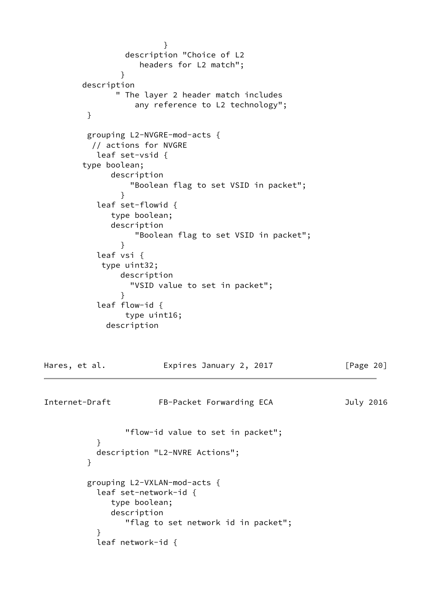```
 }
                description "Choice of L2
                  headers for L2 match";
 }
        description
              " The layer 2 header match includes
                 any reference to L2 technology";
        }
        grouping L2-NVGRE-mod-acts {
         // actions for NVGRE
          leaf set-vsid {
        type boolean;
             description
                 "Boolean flag to set VSID in packet";
 }
          leaf set-flowid {
             type boolean;
             description
                 "Boolean flag to set VSID in packet";
 }
          leaf vsi {
           type uint32;
               description
                "VSID value to set in packet";
 }
          leaf flow-id {
               type uint16;
            description
Hares, et al. Expires January 2, 2017 [Page 20]
Internet-Draft FB-Packet Forwarding ECA July 2016
                "flow-id value to set in packet";
 }
          description "L2-NVRE Actions";
 }
         grouping L2-VXLAN-mod-acts {
          leaf set-network-id {
             type boolean;
             description
                "flag to set network id in packet";
 }
          leaf network-id {
```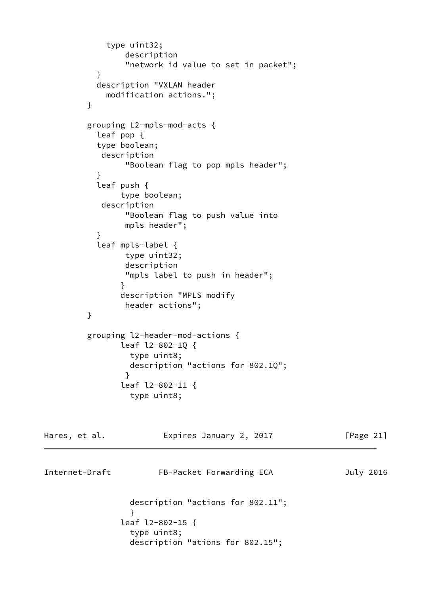```
 type uint32;
                 description
                 "network id value to set in packet";
 }
           description "VXLAN header
             modification actions.";
         }
         grouping L2-mpls-mod-acts {
           leaf pop {
           type boolean;
            description
                 "Boolean flag to pop mpls header";
 }
           leaf push {
                type boolean;
            description
                 "Boolean flag to push value into
                 mpls header";
 }
           leaf mpls-label {
                type uint32;
                 description
                "mpls label to push in header";
 }
                description "MPLS modify
                header actions";
         }
         grouping l2-header-mod-actions {
                leaf l2-802-1Q {
                  type uint8;
                  description "actions for 802.1Q";
 }
                leaf l2-802-11 {
                  type uint8;
Hares, et al.               Expires January 2, 2017             [Page 21]
Internet-Draft FB-Packet Forwarding ECA July 2016
                  description "actions for 802.11";
 }
                leaf l2-802-15 {
                  type uint8;
                  description "ations for 802.15";
```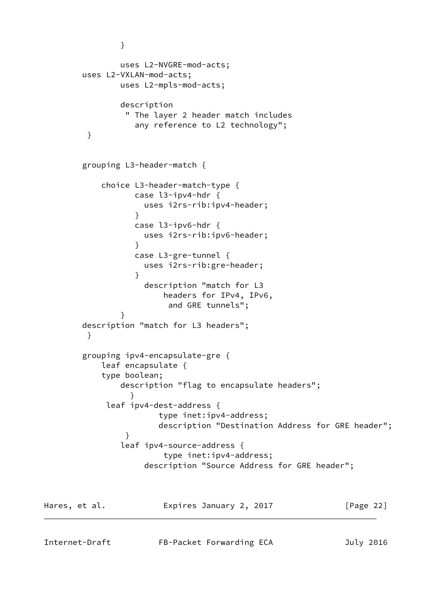```
 }
               uses L2-NVGRE-mod-acts;
        uses L2-VXLAN-mod-acts;
               uses L2-mpls-mod-acts;
               description
                " The layer 2 header match includes
                  any reference to L2 technology";
         }
        grouping L3-header-match {
           choice L3-header-match-type {
                  case l3-ipv4-hdr {
                    uses i2rs-rib:ipv4-header;
 }
                  case l3-ipv6-hdr {
                    uses i2rs-rib:ipv6-header;
 }
                  case L3-gre-tunnel {
                    uses i2rs-rib:gre-header;
 }
                    description "match for L3
                        headers for IPv4, IPv6,
                        and GRE tunnels";
 }
        description "match for L3 headers";
         }
        grouping ipv4-encapsulate-gre {
           leaf encapsulate {
           type boolean;
               description "flag to encapsulate headers";
 }
            leaf ipv4-dest-address {
                       type inet:ipv4-address;
                       description "Destination Address for GRE header";
 }
               leaf ipv4-source-address {
                        type inet:ipv4-address;
                    description "Source Address for GRE header";
```
Hares, et al. **Expires January 2, 2017** [Page 22]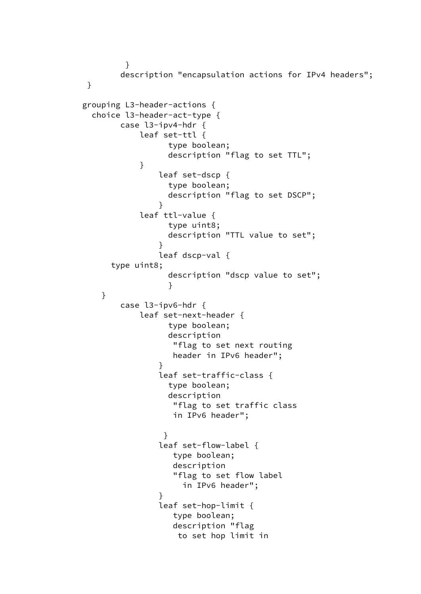```
 }
              description "encapsulation actions for IPv4 headers";
        }
       grouping L3-header-actions {
         choice l3-header-act-type {
              case l3-ipv4-hdr {
                  leaf set-ttl {
                       type boolean;
                       description "flag to set TTL";
 }
                     leaf set-dscp {
                       type boolean;
                       description "flag to set DSCP";
 }
                  leaf ttl-value {
                       type uint8;
                       description "TTL value to set";
 }
                     leaf dscp-val {
             type uint8;
                       description "dscp value to set";
 }
 }
              case l3-ipv6-hdr {
                  leaf set-next-header {
                       type boolean;
                       description
                        "flag to set next routing
                        header in IPv6 header";
 }
                     leaf set-traffic-class {
                       type boolean;
                       description
                        "flag to set traffic class
                        in IPv6 header";
 }
                     leaf set-flow-label {
                        type boolean;
                        description
                        "flag to set flow label
                          in IPv6 header";
 }
                     leaf set-hop-limit {
                        type boolean;
                        description "flag
                         to set hop limit in
```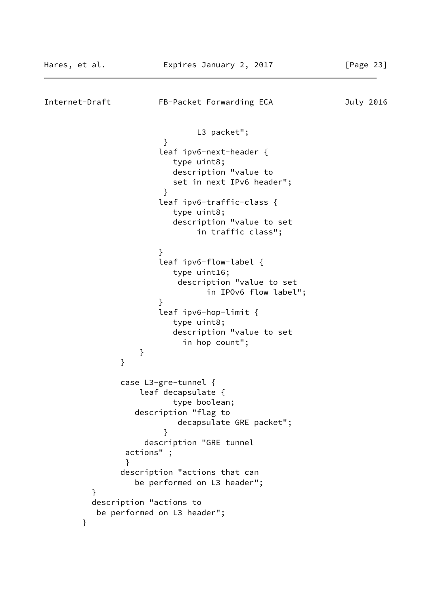```
Internet-Draft FB-Packet Forwarding ECA July 2016
                           L3 packet";
 }
                    leaf ipv6-next-header {
                       type uint8;
                       description "value to
                       set in next IPv6 header";
 }
                    leaf ipv6-traffic-class {
                       type uint8;
                       description "value to set
                           in traffic class";
 }
                    leaf ipv6-flow-label {
                       type uint16;
                        description "value to set
                            in IPOv6 flow label";
 }
                    leaf ipv6-hop-limit {
                       type uint8;
                       description "value to set
                        in hop count";
 }
 }
              case L3-gre-tunnel {
                 leaf decapsulate {
                       type boolean;
                description "flag to
                       decapsulate GRE packet";
 }
                  description "GRE tunnel
               actions" ;
 }
              description "actions that can
                be performed on L3 header";
 }
         description "actions to
         be performed on L3 header";
       }
```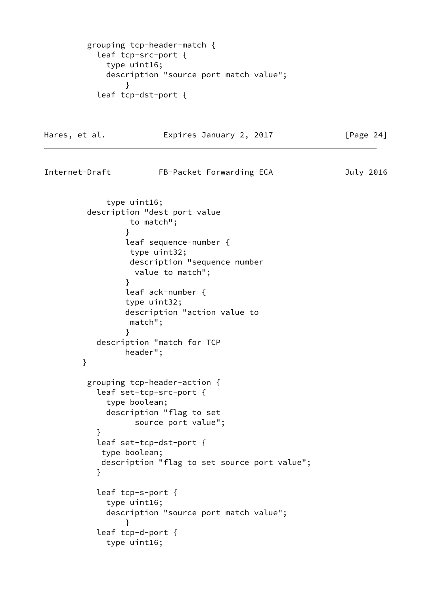```
 grouping tcp-header-match {
           leaf tcp-src-port {
             type uint16;
             description "source port match value";
 }
           leaf tcp-dst-port {
```
Hares, et al. **Expires January 2, 2017** [Page 24] Internet-Draft FB-Packet Forwarding ECA July 2016 type uint16; description "dest port value to match"; } leaf sequence-number { type uint32; description "sequence number value to match"; } leaf ack-number { type uint32; description "action value to match"; } description "match for TCP header"; } grouping tcp-header-action { leaf set-tcp-src-port { type boolean; description "flag to set source port value"; } leaf set-tcp-dst-port { type boolean; description "flag to set source port value"; } leaf tcp-s-port { type uint16; description "source port match value"; } leaf tcp-d-port { type uint16;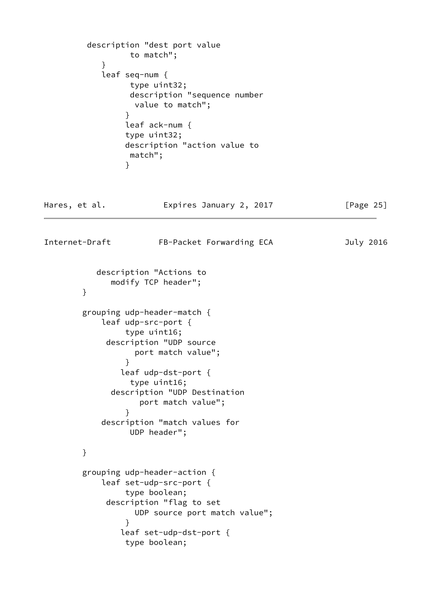```
 description "dest port value
                 to match";
 }
           leaf seq-num {
                 type uint32;
                 description "sequence number
                  value to match";
 }
                leaf ack-num {
                type uint32;
                description "action value to
                 match";
 }
Hares, et al. Expires January 2, 2017 [Page 25]
Internet-Draft FB-Packet Forwarding ECA July 2016
          description "Actions to
             modify TCP header";
        }
        grouping udp-header-match {
           leaf udp-src-port {
                type uint16;
            description "UDP source
                  port match value";
 }
               leaf udp-dst-port {
                 type uint16;
             description "UDP Destination
                  port match value";
 }
           description "match values for
                UDP header";
        }
        grouping udp-header-action {
           leaf set-udp-src-port {
                type boolean;
            description "flag to set
                 UDP source port match value";
 }
               leaf set-udp-dst-port {
                type boolean;
```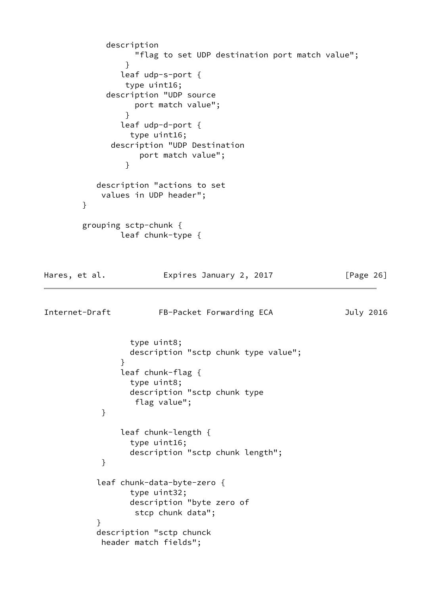description "flag to set UDP destination port match value"; } leaf udp-s-port { type uint16; description "UDP source port match value"; } leaf udp-d-port { type uint16; description "UDP Destination port match value"; } description "actions to set values in UDP header"; } grouping sctp-chunk { leaf chunk-type { Hares, et al. **Expires January 2, 2017** [Page 26] Internet-Draft FB-Packet Forwarding ECA July 2016 type uint8; description "sctp chunk type value"; } leaf chunk-flag { type uint8; description "sctp chunk type flag value"; } leaf chunk-length { type uint16; description "sctp chunk length"; } leaf chunk-data-byte-zero { type uint32; description "byte zero of stcp chunk data"; } description "sctp chunck header match fields";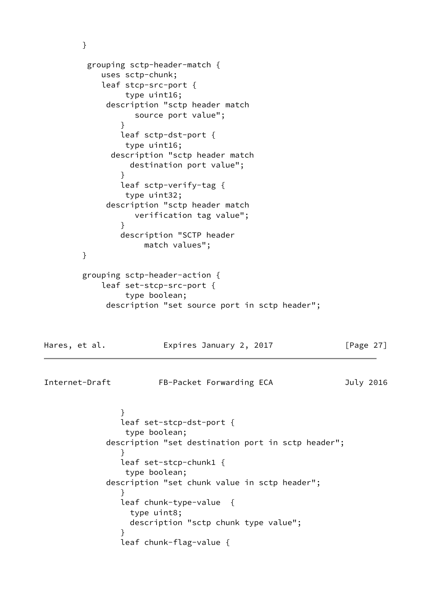```
 }
         grouping sctp-header-match {
           uses sctp-chunk;
           leaf stcp-src-port {
                type uint16;
            description "sctp header match
                  source port value";
 }
               leaf sctp-dst-port {
                type uint16;
             description "sctp header match
                 destination port value";
 }
               leaf sctp-verify-tag {
                type uint32;
            description "sctp header match
                  verification tag value";
 }
               description "SCTP header
                   match values";
        }
        grouping sctp-header-action {
           leaf set-stcp-src-port {
                type boolean;
            description "set source port in sctp header";
Hares, et al. Expires January 2, 2017 [Page 27]
Internet-Draft FB-Packet Forwarding ECA July 2016
 }
               leaf set-stcp-dst-port {
                type boolean;
            description "set destination port in sctp header";
 }
               leaf set-stcp-chunk1 {
                type boolean;
            description "set chunk value in sctp header";
 }
               leaf chunk-type-value {
                 type uint8;
                 description "sctp chunk type value";
 }
               leaf chunk-flag-value {
```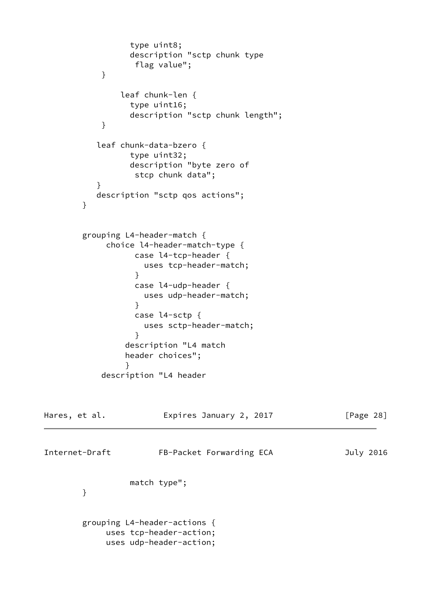```
 type uint8;
                description "sctp chunk type
                 flag value";
 }
              leaf chunk-len {
                type uint16;
                description "sctp chunk length";
 }
          leaf chunk-data-bzero {
                type uint32;
                description "byte zero of
                 stcp chunk data";
 }
          description "sctp qos actions";
        }
        grouping L4-header-match {
            choice l4-header-match-type {
                 case l4-tcp-header {
                   uses tcp-header-match;
 }
                 case l4-udp-header {
                   uses udp-header-match;
 }
                 case l4-sctp {
                   uses sctp-header-match;
 }
               description "L4 match
               header choices";
 }
           description "L4 header
Hares, et al. Expires January 2, 2017 [Page 28]
Internet-Draft FB-Packet Forwarding ECA July 2016
                match type";
        }
        grouping L4-header-actions {
            uses tcp-header-action;
            uses udp-header-action;
```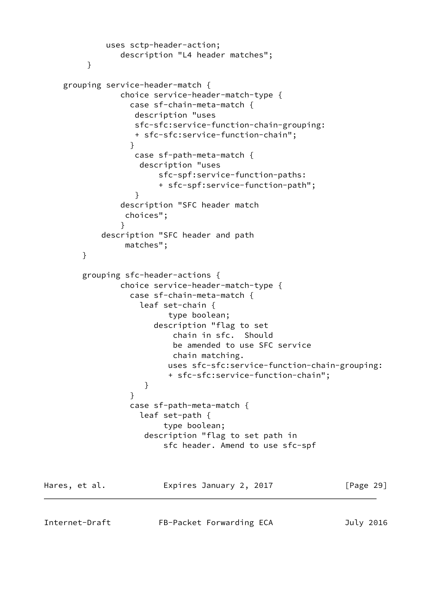```
 uses sctp-header-action;
                description "L4 header matches";
 }
    grouping service-header-match {
                choice service-header-match-type {
                  case sf-chain-meta-match {
                  description "uses
                  sfc-sfc:service-function-chain-grouping:
                  + sfc-sfc:service-function-chain";
 }
                  case sf-path-meta-match {
                   description "uses
                       sfc-spf:service-function-paths:
                       + sfc-spf:service-function-path";
 }
                description "SFC header match
                 choices";
 }
            description "SFC header and path
                 matches";
        }
        grouping sfc-header-actions {
                choice service-header-match-type {
                 case sf-chain-meta-match {
                   leaf set-chain {
                         type boolean;
                      description "flag to set
                          chain in sfc. Should
                          be amended to use SFC service
                          chain matching.
                         uses sfc-sfc:service-function-chain-grouping:
                         + sfc-sfc:service-function-chain";
 }
 }
                  case sf-path-meta-match {
                   leaf set-path {
                        type boolean;
                    description "flag to set path in
                        sfc header. Amend to use sfc-spf
Hares, et al. Expires January 2, 2017 [Page 29]
```
Internet-Draft FB-Packet Forwarding ECA July 2016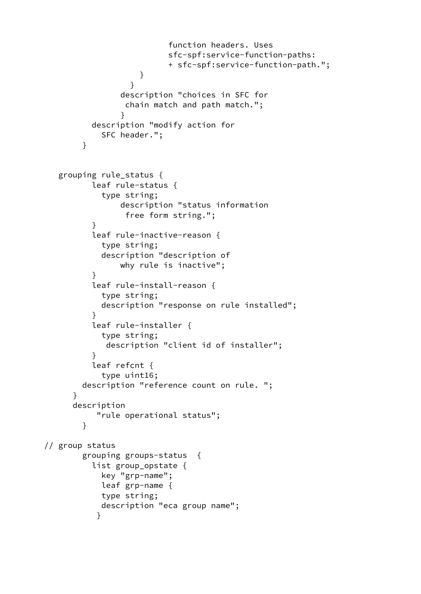```
 function headers. Uses
                          sfc-spf:service-function-paths:
                          + sfc-spf:service-function-path.";
 }
 }
                description "choices in SFC for
                 chain match and path match.";
 }
          description "modify action for
            SFC header.";
        }
   grouping rule_status {
          leaf rule-status {
            type string;
                description "status information
                 free form string.";
 }
          leaf rule-inactive-reason {
            type string;
            description "description of
                why rule is inactive";
 }
          leaf rule-install-reason {
            type string;
            description "response on rule installed";
 }
          leaf rule-installer {
            type string;
             description "client id of installer";
 }
          leaf refcnt {
            type uint16;
        description "reference count on rule. ";
      }
      description
           "rule operational status";
        }
// group status
        grouping groups-status {
          list group_opstate {
            key "grp-name";
            leaf grp-name {
            type string;
            description "eca group name";
 }
```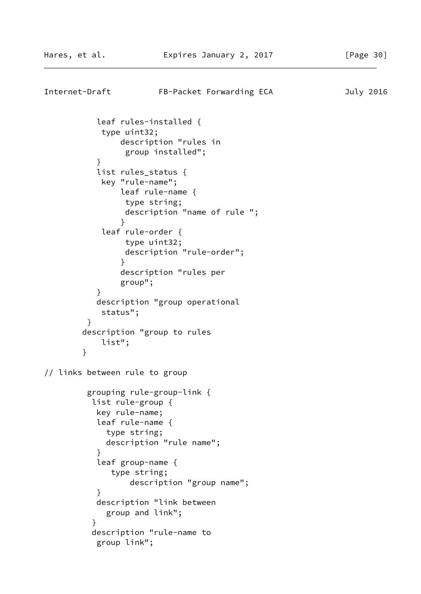```
Internet-Draft FB-Packet Forwarding ECA July 2016
           leaf rules-installed {
            type uint32;
               description "rules in
                group installed";
 }
           list rules_status {
            key "rule-name";
               leaf rule-name {
                type string;
                description "name of rule ";
 }
            leaf rule-order {
                type uint32;
                description "rule-order";
 }
               description "rules per
               group";
 }
           description "group operational
            status";
 }
        description "group to rules
            list";
        }
// links between rule to group
         grouping rule-group-link {
          list rule-group {
           key rule-name;
           leaf rule-name {
             type string;
             description "rule name";
 }
           leaf group-name {
             type string;
                 description "group name";
 }
           description "link between
             group and link";
 }
          description "rule-name to
           group link";
```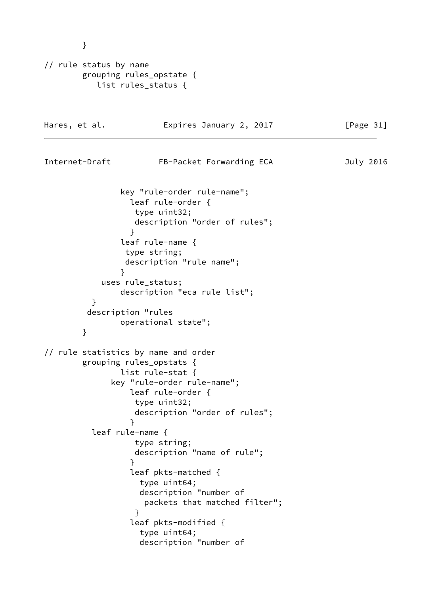```
// rule status by name
        grouping rules_opstate {
          list rules_status {
Hares, et al. Expires January 2, 2017 [Page 31]
Internet-Draft FB-Packet Forwarding ECA July 2016
               key "rule-order rule-name";
                 leaf rule-order {
                  type uint32;
                  description "order of rules";
 }
               leaf rule-name {
                type string;
                description "rule name";
 }
           uses rule_status;
               description "eca rule list";
          }
         description "rules
               operational state";
        }
// rule statistics by name and order
        grouping rules_opstats {
               list rule-stat {
             key "rule-order rule-name";
                 leaf rule-order {
                  type uint32;
                  description "order of rules";
 }
          leaf rule-name {
                  type string;
                  description "name of rule";
 }
                 leaf pkts-matched {
                   type uint64;
                   description "number of
                    packets that matched filter";
 }
                 leaf pkts-modified {
                   type uint64;
                   description "number of
```
}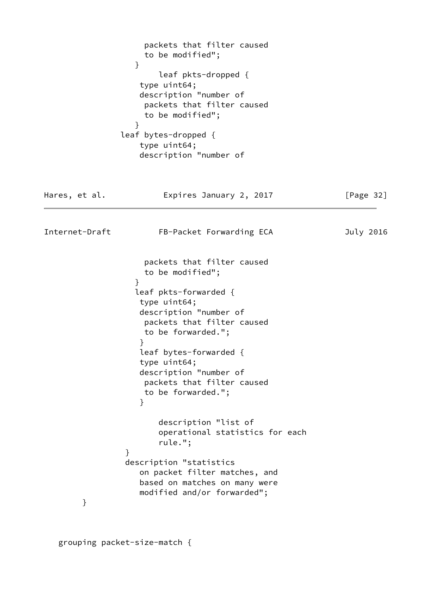packets that filter caused to be modified"; } leaf pkts-dropped { type uint64; description "number of packets that filter caused to be modified"; } leaf bytes-dropped { type uint64; description "number of Hares, et al. **Expires January 2, 2017** [Page 32] Internet-Draft FB-Packet Forwarding ECA July 2016 packets that filter caused to be modified"; } leaf pkts-forwarded { type uint64; description "number of packets that filter caused to be forwarded."; } leaf bytes-forwarded { type uint64; description "number of packets that filter caused to be forwarded."; } description "list of operational statistics for each rule."; } description "statistics on packet filter matches, and based on matches on many were modified and/or forwarded"; }

grouping packet-size-match {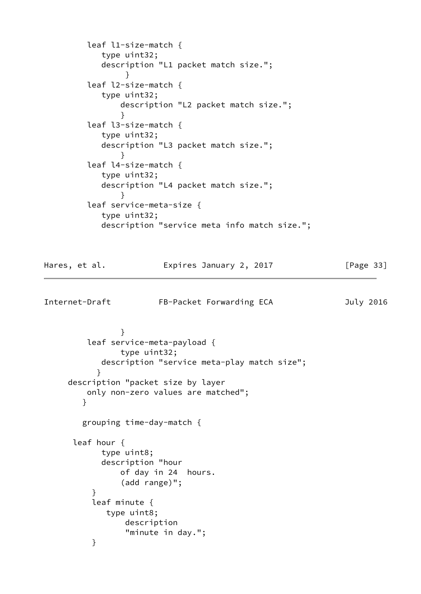```
 leaf l1-size-match {
           type uint32;
           description "L1 packet match size.";
 }
        leaf l2-size-match {
           type uint32;
              description "L2 packet match size.";
 }
        leaf l3-size-match {
           type uint32;
           description "L3 packet match size.";
 }
        leaf l4-size-match {
           type uint32;
           description "L4 packet match size.";
 }
        leaf service-meta-size {
           type uint32;
           description "service meta info match size.";
Hares, et al. Expires January 2, 2017 [Page 33]
Internet-Draft FB-Packet Forwarding ECA July 2016
```

```
 }
         leaf service-meta-payload {
                type uint32;
            description "service meta-play match size";
 }
     description "packet size by layer
         only non-zero values are matched";
        }
        grouping time-day-match {
      leaf hour {
            type uint8;
            description "hour
                of day in 24 hours.
                (add range)";
 }
          leaf minute {
             type uint8;
                 description
                 "minute in day.";
          }
```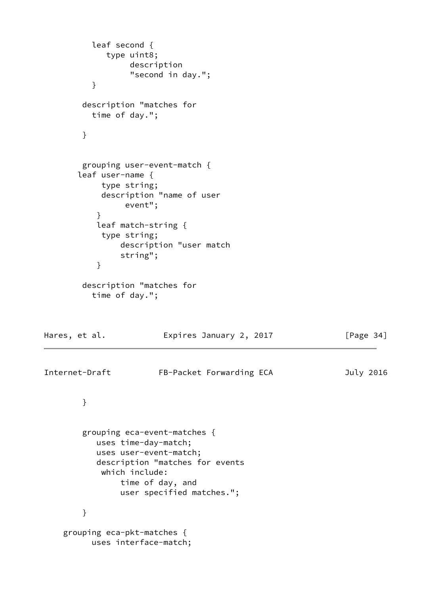```
 leaf second {
             type uint8;
                  description
                  "second in day.";
          }
        description "matches for
          time of day.";
        }
        grouping user-event-match {
       leaf user-name {
            type string;
            description "name of user
                 event";
 }
           leaf match-string {
            type string;
                description "user match
                string";
 }
        description "matches for
          time of day.";
Hares, et al. Expires January 2, 2017 [Page 34]
Internet-Draft FB-Packet Forwarding ECA July 2016
        }
        grouping eca-event-matches {
           uses time-day-match;
           uses user-event-match;
           description "matches for events
            which include:
                time of day, and
                user specified matches.";
        }
    grouping eca-pkt-matches {
          uses interface-match;
```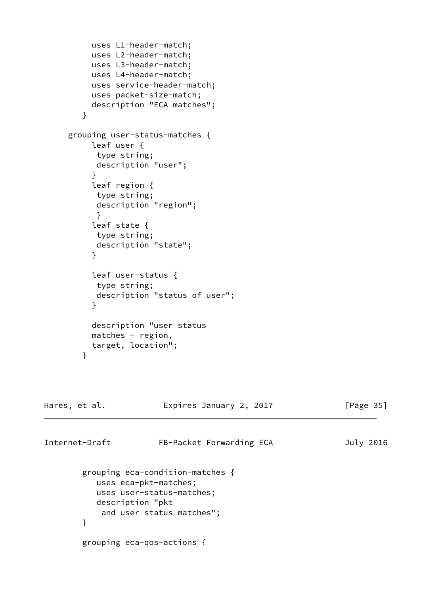```
 uses L1-header-match;
          uses L2-header-match;
          uses L3-header-match;
          uses L4-header-match;
          uses service-header-match;
          uses packet-size-match;
          description "ECA matches";
        }
     grouping user-status-matches {
          leaf user {
           type string;
           description "user";
 }
          leaf region {
           type string;
           description "region";
 }
          leaf state {
           type string;
           description "state";
 }
          leaf user-status {
           type string;
           description "status of user";
 }
          description "user status
          matches - region,
          target, location";
        }
Hares, et al. Expires January 2, 2017 [Page 35]
Internet-Draft FB-Packet Forwarding ECA July 2016
        grouping eca-condition-matches {
           uses eca-pkt-matches;
           uses user-status-matches;
           description "pkt
            and user status matches";
        }
        grouping eca-qos-actions {
```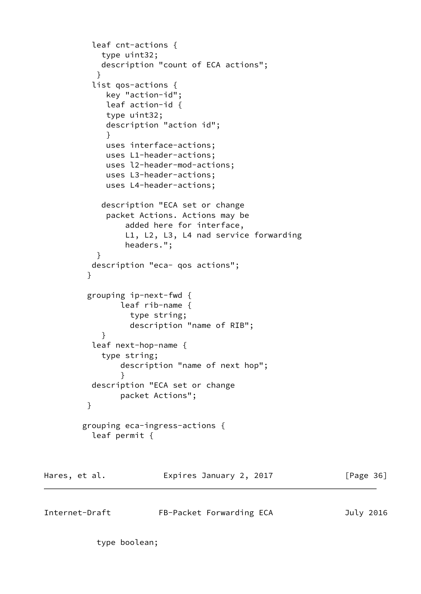```
 leaf cnt-actions {
            type uint32;
            description "count of ECA actions";
 }
          list qos-actions {
             key "action-id";
             leaf action-id {
             type uint32;
             description "action id";
 }
             uses interface-actions;
             uses L1-header-actions;
             uses l2-header-mod-actions;
             uses L3-header-actions;
             uses L4-header-actions;
            description "ECA set or change
             packet Actions. Actions may be
                 added here for interface,
                 L1, L2, L3, L4 nad service forwarding
                 headers.";
 }
          description "eca- qos actions";
 }
         grouping ip-next-fwd {
               leaf rib-name {
                  type string;
                  description "name of RIB";
 }
          leaf next-hop-name {
            type string;
                description "name of next hop";
 }
          description "ECA set or change
                packet Actions";
         }
        grouping eca-ingress-actions {
          leaf permit {
Hares, et al. Expires January 2, 2017 [Page 36]
```
Internet-Draft FB-Packet Forwarding ECA July 2016

type boolean;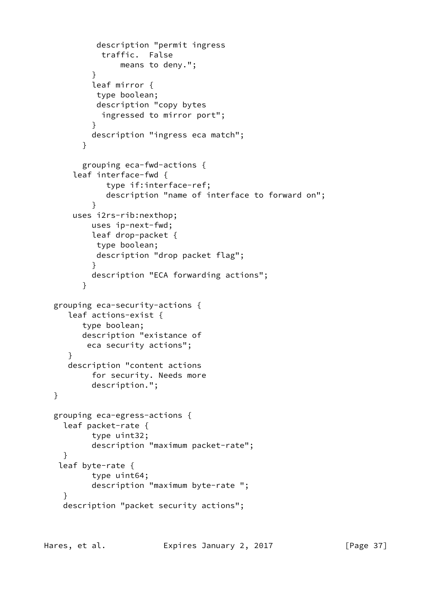```
 description "permit ingress
             traffic. False
                 means to deny.";
 }
           leaf mirror {
            type boolean;
            description "copy bytes
             ingressed to mirror port";
 }
           description "ingress eca match";
         }
         grouping eca-fwd-actions {
       leaf interface-fwd {
              type if:interface-ref;
              description "name of interface to forward on";
 }
       uses i2rs-rib:nexthop;
           uses ip-next-fwd;
           leaf drop-packet {
           type boolean;
            description "drop packet flag";
 }
           description "ECA forwarding actions";
         }
  grouping eca-security-actions {
     leaf actions-exist {
         type boolean;
        description "existance of
          eca security actions";
     }
     description "content actions
           for security. Needs more
           description.";
  }
  grouping eca-egress-actions {
    leaf packet-rate {
           type uint32;
           description "maximum packet-rate";
    }
   leaf byte-rate {
           type uint64;
           description "maximum byte-rate ";
     }
    description "packet security actions";
```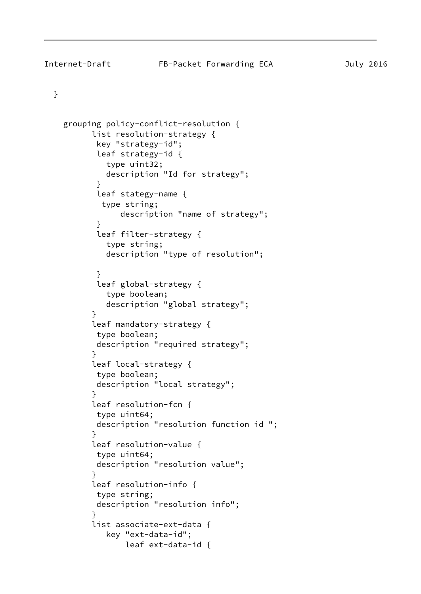## }

```
 grouping policy-conflict-resolution {
          list resolution-strategy {
           key "strategy-id";
           leaf strategy-id {
             type uint32;
             description "Id for strategy";
 }
           leaf stategy-name {
            type string;
                description "name of strategy";
 }
           leaf filter-strategy {
             type string;
             description "type of resolution";
 }
           leaf global-strategy {
             type boolean;
             description "global strategy";
 }
          leaf mandatory-strategy {
           type boolean;
           description "required strategy";
 }
          leaf local-strategy {
           type boolean;
           description "local strategy";
 }
          leaf resolution-fcn {
           type uint64;
           description "resolution function id ";
 }
          leaf resolution-value {
           type uint64;
           description "resolution value";
 }
          leaf resolution-info {
           type string;
           description "resolution info";
 }
          list associate-ext-data {
             key "ext-data-id";
                 leaf ext-data-id {
```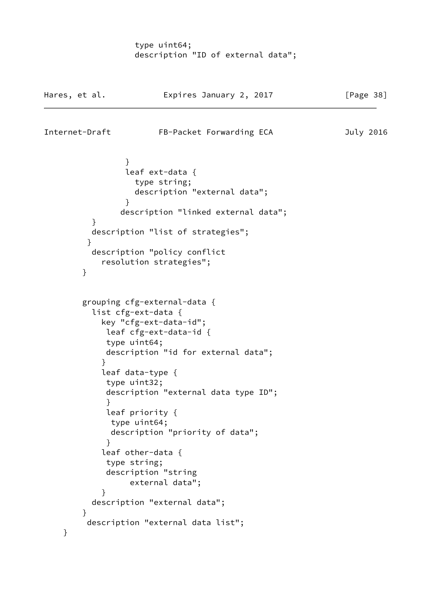type uint64; description "ID of external data";

| Hares, et al.  | Expires January 2, 2017              | [Page 38] |
|----------------|--------------------------------------|-----------|
| Internet-Draft | FB-Packet Forwarding ECA             | July 2016 |
| $\mathcal{F}$  |                                      |           |
|                | leaf ext-data {                      |           |
|                | type string;                         |           |
|                | description "external data";         |           |
| ł              |                                      |           |
|                | description "linked external data";  |           |
| }              |                                      |           |
|                | description "list of strategies";    |           |
| }              | description "policy conflict         |           |
|                | resolution strategies";              |           |
| }              |                                      |           |
|                | grouping cfg-external-data {         |           |
|                | list cfg-ext-data {                  |           |
|                | key "cfg-ext-data-id";               |           |
|                | leaf cfg-ext-data-id {               |           |
| type uint64;   | description "id for external data";  |           |
| }              |                                      |           |
|                | leaf data-type {                     |           |
| type uint32;   |                                      |           |
|                | description "external data type ID"; |           |
| }              |                                      |           |
|                | leaf priority {                      |           |
|                | type uint64;                         |           |
| }              | description "priority of data";      |           |
|                | leaf other-data {                    |           |
| type string;   |                                      |           |
|                | description "string                  |           |
|                | external data";                      |           |
| }              |                                      |           |
|                | description "external data";         |           |
| $\mathcal{F}$  |                                      |           |
|                | description "external data list";    |           |
| }              |                                      |           |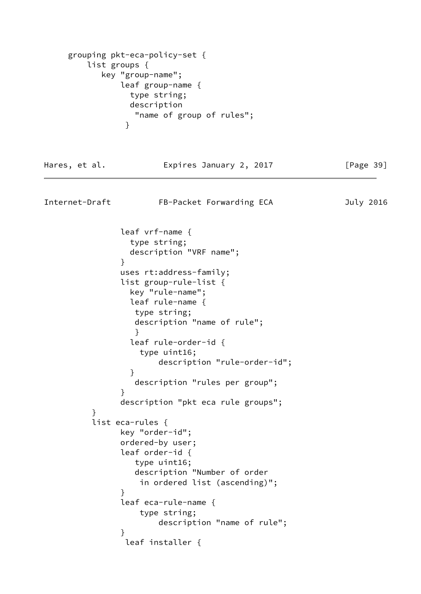```
 grouping pkt-eca-policy-set {
         list groups {
           key "group-name";
               leaf group-name {
                 type string;
                description
                  "name of group of rules";
 }
Hares, et al. Expires January 2, 2017 [Page 39]
Internet-Draft FB-Packet Forwarding ECA July 2016
               leaf vrf-name {
                 type string;
                description "VRF name";
 }
               uses rt:address-family;
               list group-rule-list {
                key "rule-name";
                leaf rule-name {
                 type string;
                 description "name of rule";
 }
                 leaf rule-order-id {
                  type uint16;
                      description "rule-order-id";
 }
                 description "rules per group";
 }
               description "pkt eca rule groups";
         }
         list eca-rules {
               key "order-id";
               ordered-by user;
               leaf order-id {
                 type uint16;
                 description "Number of order
                  in ordered list (ascending)";
 }
               leaf eca-rule-name {
                  type string;
                      description "name of rule";
 }
                leaf installer {
```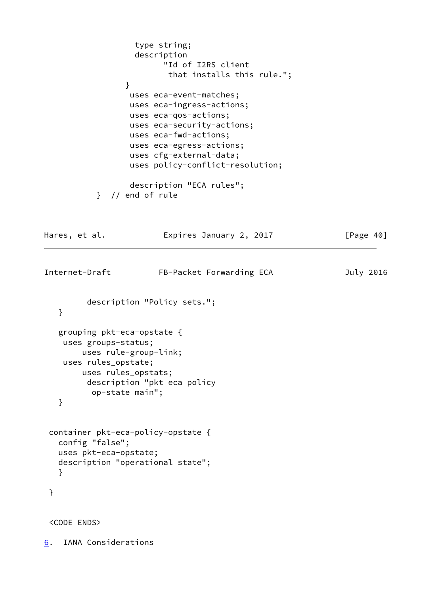```
 type string;
                   description
                         "Id of I2RS client
                          that installs this rule.";
 }
                  uses eca-event-matches;
                  uses eca-ingress-actions;
                  uses eca-qos-actions;
                  uses eca-security-actions;
                  uses eca-fwd-actions;
                  uses eca-egress-actions;
                  uses cfg-external-data;
                  uses policy-conflict-resolution;
                  description "ECA rules";
           } // end of rule
Hares, et al. Expires January 2, 2017 [Page 40]
Internet-Draft FB-Packet Forwarding ECA July 2016
         description "Policy sets.";
   }
   grouping pkt-eca-opstate {
    uses groups-status;
        uses rule-group-link;
    uses rules_opstate;
        uses rules_opstats;
         description "pkt eca policy
          op-state main";
    }
  container pkt-eca-policy-opstate {
   config "false";
   uses pkt-eca-opstate;
   description "operational state";
   }
  }
  <CODE ENDS>
```
<span id="page-45-0"></span>[6](#page-45-0). IANA Considerations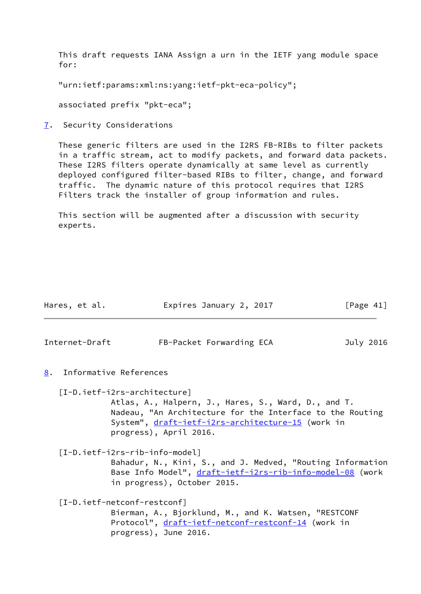This draft requests IANA Assign a urn in the IETF yang module space for:

"urn:ietf:params:xml:ns:yang:ietf-pkt-eca-policy";

associated prefix "pkt-eca";

<span id="page-46-0"></span>[7](#page-46-0). Security Considerations

 These generic filters are used in the I2RS FB-RIBs to filter packets in a traffic stream, act to modify packets, and forward data packets. These I2RS filters operate dynamically at same level as currently deployed configured filter-based RIBs to filter, change, and forward traffic. The dynamic nature of this protocol requires that I2RS Filters track the installer of group information and rules.

 This section will be augmented after a discussion with security experts.

<span id="page-46-2"></span><span id="page-46-1"></span>

|    | Hares, et al.  | Expires January 2, 2017                                                                                                                                                                                                         | [Page $41$ ] |
|----|----------------|---------------------------------------------------------------------------------------------------------------------------------------------------------------------------------------------------------------------------------|--------------|
|    | Internet-Draft | FB-Packet Forwarding ECA                                                                                                                                                                                                        | July 2016    |
| 8. |                | Informative References                                                                                                                                                                                                          |              |
|    |                | [I-D.ietf-i2rs-architecture]<br>Atlas, A., Halpern, J., Hares, S., Ward, D., and T.<br>Nadeau, "An Architecture for the Interface to the Routing<br>System", draft-ietf-i2rs-architecture-15 (work in<br>progress), April 2016. |              |
|    |                | [I-D.ietf-i2rs-rib-info-model]<br>Bahadur, N., Kini, S., and J. Medved, "Routing Information<br>Base Info Model", <u>draft-ietf-i2rs-rib-info-model-08</u> (work<br>in progress), October 2015.                                 |              |
|    |                | [I-D.ietf-netconf-restconf]<br>Bierman, A., Bjorklund, M., and K. Watsen, "RESTCONF<br>Protocol", draft-ietf-netconf-restconf-14 (work in<br>progress), June 2016.                                                              |              |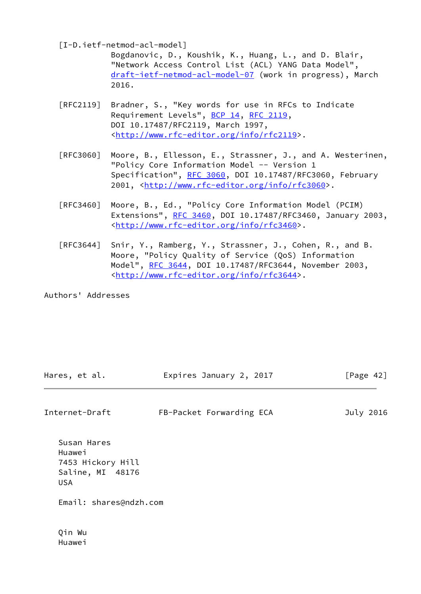[I-D.ietf-netmod-acl-model]

 Bogdanovic, D., Koushik, K., Huang, L., and D. Blair, "Network Access Control List (ACL) YANG Data Model", [draft-ietf-netmod-acl-model-07](https://datatracker.ietf.org/doc/pdf/draft-ietf-netmod-acl-model-07) (work in progress), March 2016.

- [RFC2119] Bradner, S., "Key words for use in RFCs to Indicate Requirement Levels", [BCP 14](https://datatracker.ietf.org/doc/pdf/bcp14), [RFC 2119](https://datatracker.ietf.org/doc/pdf/rfc2119), DOI 10.17487/RFC2119, March 1997, <<http://www.rfc-editor.org/info/rfc2119>>.
- [RFC3060] Moore, B., Ellesson, E., Strassner, J., and A. Westerinen, "Policy Core Information Model -- Version 1 Specification", [RFC 3060,](https://datatracker.ietf.org/doc/pdf/rfc3060) DOI 10.17487/RFC3060, February 2001, [<http://www.rfc-editor.org/info/rfc3060](http://www.rfc-editor.org/info/rfc3060)>.
- [RFC3460] Moore, B., Ed., "Policy Core Information Model (PCIM) Extensions", [RFC 3460](https://datatracker.ietf.org/doc/pdf/rfc3460), DOI 10.17487/RFC3460, January 2003, <<http://www.rfc-editor.org/info/rfc3460>>.
- [RFC3644] Snir, Y., Ramberg, Y., Strassner, J., Cohen, R., and B. Moore, "Policy Quality of Service (QoS) Information Model", [RFC 3644,](https://datatracker.ietf.org/doc/pdf/rfc3644) DOI 10.17487/RFC3644, November 2003, <<http://www.rfc-editor.org/info/rfc3644>>.

Authors' Addresses

| Hares, et al. | Expires January 2, 2017 | [Page 42] |
|---------------|-------------------------|-----------|
|               |                         |           |

Internet-Draft FB-Packet Forwarding ECA July 2016

 Susan Hares Huawei 7453 Hickory Hill Saline, MI 48176 USA

Email: shares@ndzh.com

 Qin Wu Huawei